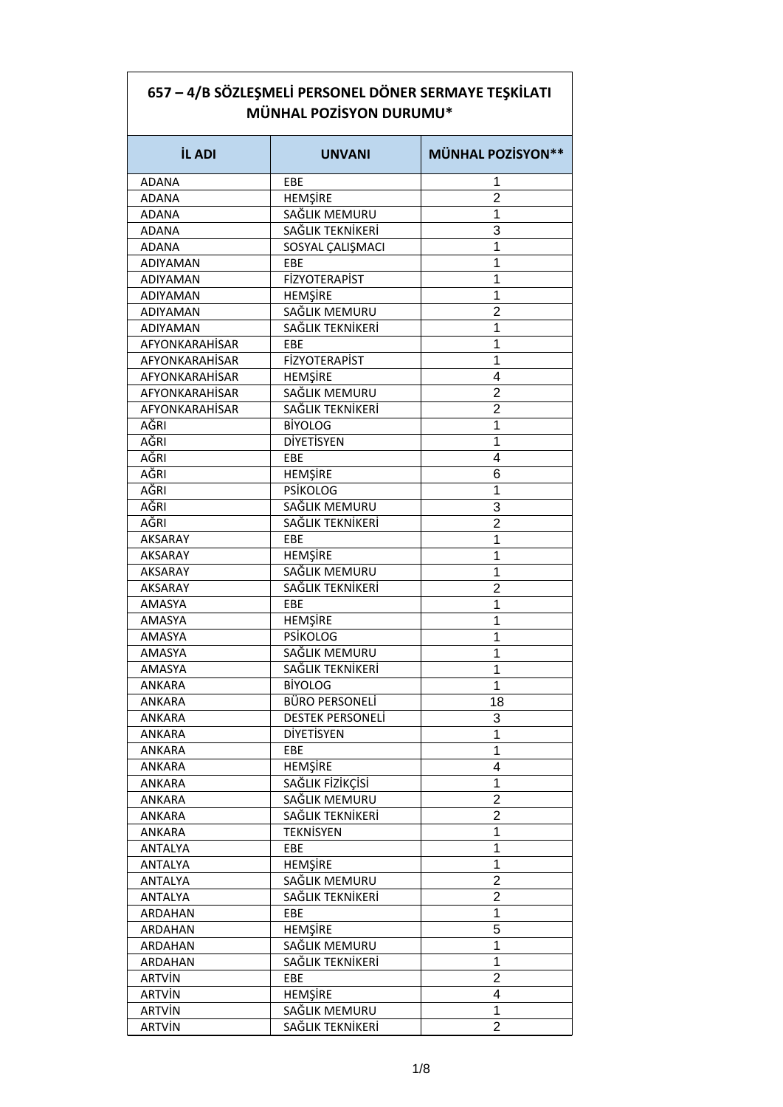| 657 – 4/B SÖZLEŞMELİ PERSONEL DÖNER SERMAYE TEŞKİLATI |
|-------------------------------------------------------|
| <b>MÜNHAL POZISYON DURUMU*</b>                        |

| <b>İL ADI</b>   | <b>UNVANI</b>           | <b>MÜNHAL POZİSYON**</b> |
|-----------------|-------------------------|--------------------------|
| <b>ADANA</b>    | EBE                     | 1                        |
| <b>ADANA</b>    | <b>HEMŞİRE</b>          | $\overline{2}$           |
| <b>ADANA</b>    | SAĞLIK MEMURU           | 1                        |
| <b>ADANA</b>    | SAĞLIK TEKNİKERİ        | 3                        |
| <b>ADANA</b>    | SOSYAL ÇALIŞMACI        | 1                        |
| <b>ADIYAMAN</b> | EBE                     | 1                        |
| <b>ADIYAMAN</b> | <b>FİZYOTERAPİST</b>    | 1                        |
| ADIYAMAN        | <b>HEMSIRE</b>          | 1                        |
| ADIYAMAN        | SAĞLIK MEMURU           | $\overline{2}$           |
| <b>ADIYAMAN</b> | SAĞLIK TEKNİKERİ        | 1                        |
| AFYONKARAHİSAR  | EBE                     | 1                        |
| AFYONKARAHİSAR  | <b>FİZYOTERAPİST</b>    | 1                        |
| AFYONKARAHİSAR  | <b>HEMŞİRE</b>          | 4                        |
| AFYONKARAHİSAR  | SAĞLIK MEMURU           | $\overline{2}$           |
| AFYONKARAHİSAR  | SAĞLIK TEKNİKERİ        | $\overline{2}$           |
| AĞRI            | <b>BİYOLOG</b>          | 1                        |
| <b>AĞRI</b>     | <b>DİYETİSYEN</b>       | 1                        |
| AĞRI            | EBE                     | 4                        |
| AĞRI            | <b>HEMŞİRE</b>          | 6                        |
| AĞRI            | <b>PSİKOLOG</b>         | 1                        |
| AĞRI            | SAĞLIK MEMURU           | 3                        |
| <b>AĞRI</b>     | SAĞLIK TEKNİKERİ        | $\overline{2}$           |
| <b>AKSARAY</b>  | EBE                     | 1                        |
|                 |                         |                          |
| <b>AKSARAY</b>  | HEMŞİRE                 | 1                        |
| <b>AKSARAY</b>  | SAĞLIK MEMURU           | 1                        |
| <b>AKSARAY</b>  | SAĞLIK TEKNİKERİ        | $\overline{2}$           |
| <b>AMASYA</b>   | EBE                     | 1                        |
| <b>AMASYA</b>   | HEMŞİRE                 | 1                        |
| <b>AMASYA</b>   | <b>PSİKOLOG</b>         | 1                        |
| <b>AMASYA</b>   | SAĞLIK MEMURU           | 1                        |
| <b>AMASYA</b>   | SAĞLIK TEKNİKERİ        | 1                        |
| <b>ANKARA</b>   | <b>BİYOLOG</b>          | 1                        |
| <b>ANKARA</b>   | <b>BÜRO PERSONELİ</b>   | 18                       |
| <b>ANKARA</b>   | <b>DESTEK PERSONELI</b> | 3                        |
| ANKARA          | <b>DİYETİSYEN</b>       | 1                        |
| ANKARA          | EBE                     | 1                        |
| ANKARA          | <b>HEMŞİRE</b>          | 4                        |
| ANKARA          | SAĞLIK FİZİKÇİSİ        | 1                        |
| ANKARA          | SAĞLIK MEMURU           | $\overline{2}$           |
| ANKARA          | SAĞLIK TEKNİKERİ        | 2                        |
| ANKARA          | <b>TEKNİSYEN</b>        | 1                        |
| ANTALYA         | EBE                     | 1                        |
| ANTALYA         | <b>HEMŞİRE</b>          | 1                        |
| ANTALYA         | SAĞLIK MEMURU           | 2                        |
| ANTALYA         | SAĞLIK TEKNİKERİ        | $\overline{2}$           |
| ARDAHAN         | EBE                     | 1                        |
| ARDAHAN         | <b>HEMŞİRE</b>          | 5                        |
| ARDAHAN         | SAĞLIK MEMURU           | 1                        |
| ARDAHAN         | SAĞLIK TEKNİKERİ        | 1                        |
| <b>ARTVIN</b>   | EBE                     | 2                        |
| <b>ARTVIN</b>   | <b>HEMŞİRE</b>          | 4                        |
| <b>ARTVIN</b>   | SAĞLIK MEMURU           | 1                        |
| <b>ARTVİN</b>   | SAĞLIK TEKNİKERİ        | $\overline{2}$           |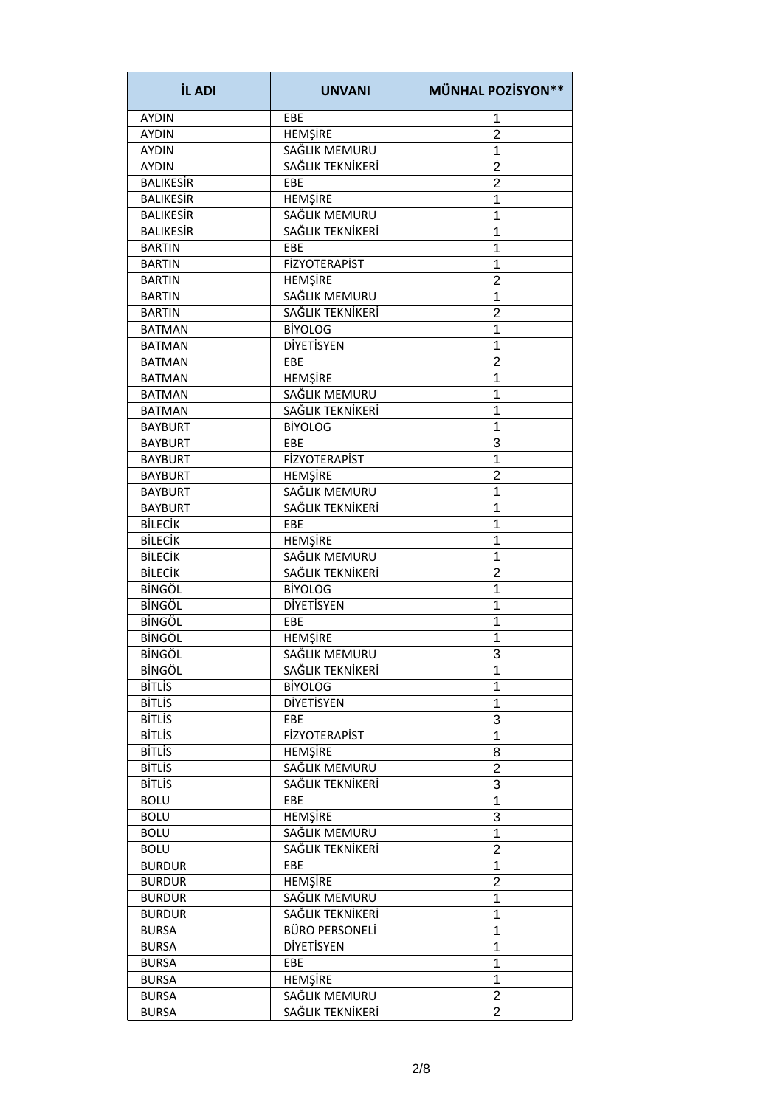| <b>İL ADI</b>    | <b>UNVANI</b>         | <b>MÜNHAL POZİSYON**</b> |
|------------------|-----------------------|--------------------------|
| <b>AYDIN</b>     | EBE                   | 1                        |
| <b>AYDIN</b>     | HEMŞİRE               | $\overline{2}$           |
| <b>AYDIN</b>     | SAĞLIK MEMURU         | 1                        |
| <b>AYDIN</b>     | SAĞLIK TEKNİKERİ      | $\overline{2}$           |
| <b>BALIKESIR</b> | EBE                   | $\overline{2}$           |
| <b>BALIKESIR</b> | <b>HEMŞİRE</b>        | 1                        |
| <b>BALIKESIR</b> | SAĞLIK MEMURU         | 1                        |
| <b>BALIKESIR</b> | SAĞLIK TEKNİKERİ      | 1                        |
| <b>BARTIN</b>    | EBE                   | 1                        |
| <b>BARTIN</b>    | <b>FİZYOTERAPİST</b>  | 1                        |
| <b>BARTIN</b>    | <b>HEMŞİRE</b>        | $\overline{2}$           |
| <b>BARTIN</b>    | SAĞLIK MEMURU         | 1                        |
| <b>BARTIN</b>    | SAĞLIK TEKNİKERİ      | $\overline{2}$           |
| <b>BATMAN</b>    | <b>BİYOLOG</b>        | 1                        |
| <b>BATMAN</b>    | <b>DİYETİSYEN</b>     | 1                        |
| <b>BATMAN</b>    | EBE                   | $\overline{2}$           |
| <b>BATMAN</b>    | <b>HEMŞİRE</b>        | 1                        |
| <b>BATMAN</b>    | SAĞLIK MEMURU         | 1                        |
| <b>BATMAN</b>    | SAĞLIK TEKNİKERİ      | 1                        |
| <b>BAYBURT</b>   | <b>BİYOLOG</b>        | 1                        |
|                  |                       | 3                        |
| <b>BAYBURT</b>   | EBE                   |                          |
| <b>BAYBURT</b>   | <b>FİZYOTERAPİST</b>  | 1                        |
| <b>BAYBURT</b>   | <b>HEMŞİRE</b>        | $\overline{2}$           |
| <b>BAYBURT</b>   | SAĞLIK MEMURU         | 1                        |
| <b>BAYBURT</b>   | SAĞLIK TEKNİKERİ      | 1                        |
| <b>BİLECİK</b>   | EBE                   | 1                        |
| <b>BİLECİK</b>   | <b>HEMŞİRE</b>        | 1                        |
| <b>BİLECİK</b>   | SAĞLIK MEMURU         | 1                        |
| <b>BİLECİK</b>   | SAĞLIK TEKNİKERİ      | $\overline{2}$           |
| <b>BİNGÖL</b>    | <b>BİYOLOG</b>        | 1                        |
| <b>BİNGÖL</b>    | <b>DİYETİSYEN</b>     | 1                        |
| <b>BİNGÖL</b>    | EBE                   | 1                        |
| <b>BİNGÖL</b>    | <b>HEMŞİRE</b>        | 1                        |
| <b>BİNGÖL</b>    | SAĞLIK MEMURU         | 3                        |
| <b>BİNGÖL</b>    | SAĞLIK TEKNİKERİ      | 1                        |
| <b>BİTLİS</b>    | <b>BİYOLOG</b>        | 1                        |
| <b>BİTLİS</b>    | DİYETİSYEN            | 1                        |
| <b>BİTLİS</b>    | <b>EBE</b>            | 3                        |
| <b>BİTLİS</b>    | <b>FİZYOTERAPİST</b>  | 1                        |
| <b>BİTLİS</b>    | <b>HEMŞİRE</b>        | 8                        |
| <b>BİTLİS</b>    | SAĞLIK MEMURU         | $\overline{2}$           |
| <b>BİTLİS</b>    | SAĞLIK TEKNİKERİ      | 3                        |
| <b>BOLU</b>      | EBE                   | $\mathbf 1$              |
| <b>BOLU</b>      | HEMŞİRE               | 3                        |
| <b>BOLU</b>      | SAĞLIK MEMURU         | $\mathbf 1$              |
| <b>BOLU</b>      | SAĞLIK TEKNİKERİ      | $\overline{2}$           |
| <b>BURDUR</b>    | EBE                   | 1                        |
| <b>BURDUR</b>    | <b>HEMŞİRE</b>        | $\overline{2}$           |
| <b>BURDUR</b>    | SAĞLIK MEMURU         | 1                        |
| <b>BURDUR</b>    | SAĞLIK TEKNİKERİ      | 1                        |
| <b>BURSA</b>     | <b>BÜRO PERSONELİ</b> | 1                        |
| <b>BURSA</b>     | <b>DIYETISYEN</b>     | 1                        |
| <b>BURSA</b>     | EBE                   | 1                        |
|                  |                       |                          |
| <b>BURSA</b>     | HEMŞİRE               | 1                        |
| <b>BURSA</b>     | SAĞLIK MEMURU         | $\overline{2}$           |
| <b>BURSA</b>     | SAĞLIK TEKNİKERİ      | $\overline{2}$           |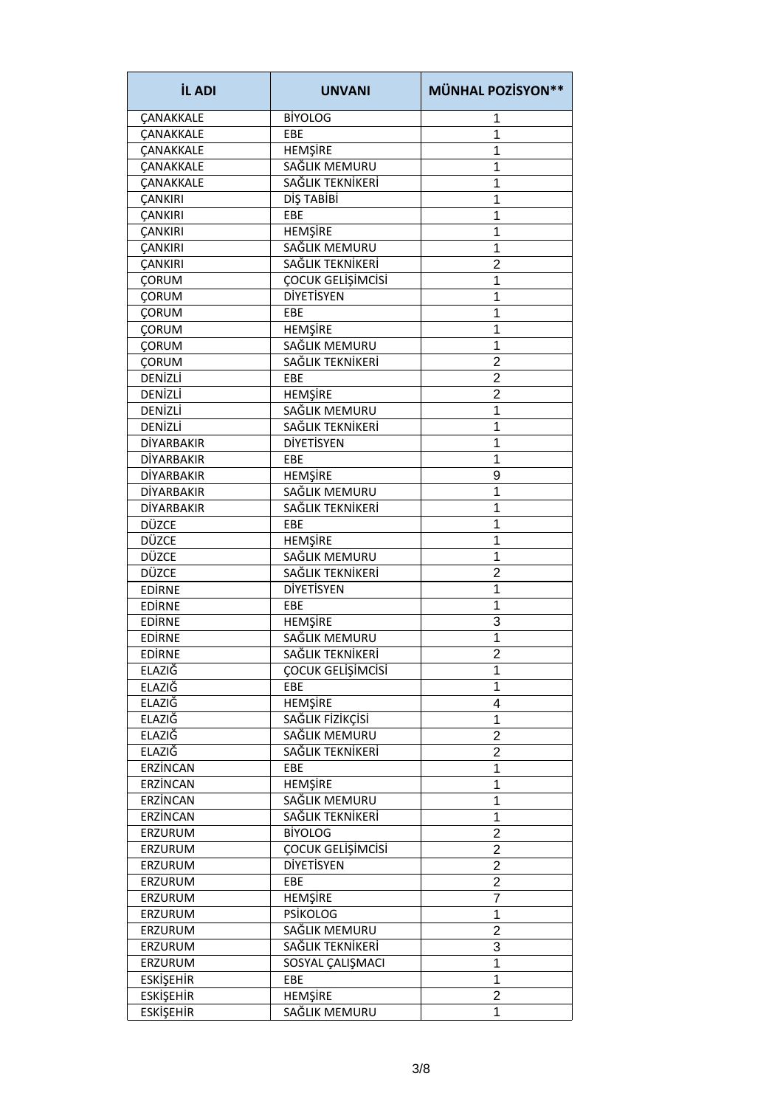| <b>İL ADI</b>     | <b>UNVANI</b>     | <b>MÜNHAL POZİSYON**</b> |
|-------------------|-------------------|--------------------------|
| <b>CANAKKALE</b>  | <b>BİYOLOG</b>    | 1                        |
| <b>ÇANAKKALE</b>  | EBE               | 1                        |
| <b>CANAKKALE</b>  | HEMŞİRE           | 1                        |
| CANAKKALE         | SAĞLIK MEMURU     | 1                        |
| <b>CANAKKALE</b>  | SAĞLIK TEKNİKERİ  | 1                        |
| <b>ÇANKIRI</b>    | DİŞ TABİBİ        | 1                        |
| <b>ÇANKIRI</b>    | EBE               | 1                        |
| <b>ÇANKIRI</b>    | HEMŞİRE           | 1                        |
| <b>ÇANKIRI</b>    | SAĞLIK MEMURU     | 1                        |
| ÇANKIRI           | SAĞLIK TEKNİKERİ  | 2                        |
| <b>ÇORUM</b>      | ÇOCUK GELİŞİMCİSİ | 1                        |
| <b>ÇORUM</b>      | <b>DİYETİSYEN</b> | 1                        |
| <b>ÇORUM</b>      | EBE               | 1                        |
| <b>ÇORUM</b>      | <b>HEMŞİRE</b>    | 1                        |
| CORUM             | SAĞLIK MEMURU     | 1                        |
| <b>ÇORUM</b>      | SAĞLIK TEKNİKERİ  | $\overline{2}$           |
| DENİZLİ           | EBE               | $\overline{2}$           |
| DENİZLİ           | <b>HEMŞİRE</b>    | $\overline{2}$           |
| DENİZLİ           | SAĞLIK MEMURU     | 1                        |
| DENİZLİ           | SAĞLIK TEKNİKERİ  | 1                        |
| DİYARBAKIR        | <b>DİYETİSYEN</b> | 1                        |
| DİYARBAKIR        | EBE               | 1                        |
| <b>DİYARBAKIR</b> | <b>HEMŞİRE</b>    | 9                        |
| <b>DİYARBAKIR</b> | SAĞLIK MEMURU     | 1                        |
| <b>DİYARBAKIR</b> | SAĞLIK TEKNİKERİ  | 1                        |
| <b>DÜZCE</b>      | EBE               | 1                        |
| DÜZCE             | <b>HEMŞİRE</b>    | 1                        |
| DÜZCE             | SAĞLIK MEMURU     | 1                        |
| DÜZCE             | SAĞLIK TEKNİKERİ  | $\overline{2}$           |
| <b>EDIRNE</b>     | DİYETİSYEN        | 1                        |
| <b>EDIRNE</b>     | EBE               | 1                        |
| <b>EDIRNE</b>     | HEMŞİRE           | 3                        |
| <b>EDIRNE</b>     | SAĞLIK MEMURU     | 1                        |
| <b>EDIRNE</b>     | SAĞLIK TEKNİKERİ  | $\overline{2}$           |
| ELAZIĞ            | ÇOCUK GELİŞİMCİSİ | 1                        |
| ELAZIĞ            | EBE               | 1                        |
| ELAZIĞ            | <b>HEMŞİRE</b>    | 4                        |
| ELAZIĞ            | SAĞLIK FİZİKÇİSİ  | 1                        |
| <b>ELAZIĞ</b>     | SAĞLIK MEMURU     | $\overline{2}$           |
| ELAZIĞ            | SAĞLIK TEKNİKERİ  | $\overline{c}$           |
| ERZİNCAN          | EBE               | 1                        |
| ERZİNCAN          | HEMŞİRE           | 1                        |
| ERZİNCAN          | SAĞLIK MEMURU     | 1                        |
| ERZİNCAN          | SAĞLIK TEKNİKERİ  | 1                        |
| ERZURUM           | <b>BİYOLOG</b>    | $\overline{2}$           |
| ERZURUM           | ÇOCUK GELİŞİMCİSİ | $\overline{2}$           |
| ERZURUM           | DİYETİSYEN        | $\overline{2}$           |
| ERZURUM           | EBE               | 2                        |
| ERZURUM           | HEMŞİRE           | $\overline{7}$           |
| ERZURUM           | <b>PSİKOLOG</b>   |                          |
|                   | SAĞLIK MEMURU     | 1<br>$\overline{2}$      |
| ERZURUM           |                   |                          |
| ERZURUM           | SAĞLIK TEKNİKERİ  | 3                        |
| ERZURUM           | SOSYAL ÇALIŞMACI  | 1                        |
| <b>ESKİŞEHİR</b>  | EBE               | 1                        |
| <b>ESKİŞEHİR</b>  | <b>HEMŞİRE</b>    | $\overline{2}$           |
| <b>ESKİŞEHİR</b>  | SAĞLIK MEMURU     | 1                        |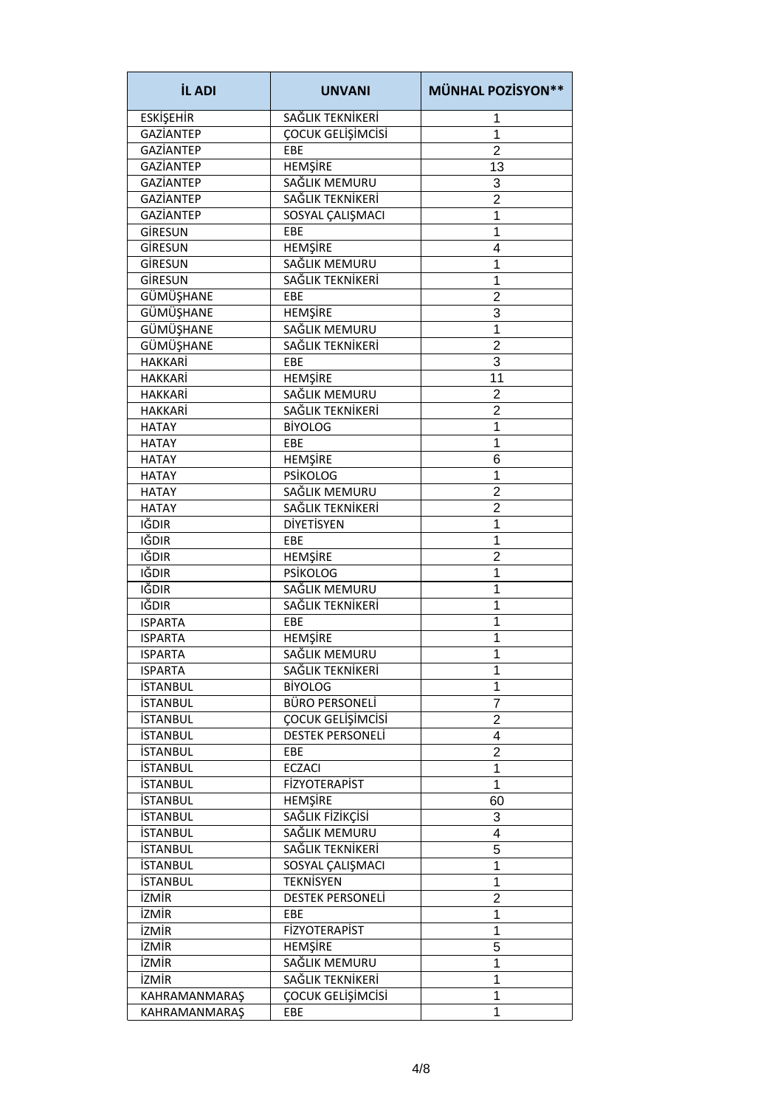| <b>İL ADI</b>        | <b>UNVANI</b>           | <b>MÜNHAL POZİSYON**</b> |
|----------------------|-------------------------|--------------------------|
| <b>ESKİŞEHİR</b>     | SAĞLIK TEKNİKERİ        | 1                        |
| <b>GAZİANTEP</b>     | ÇOCUK GELİŞİMCİSİ       | 1                        |
| <b>GAZİANTEP</b>     | EBE                     | $\overline{2}$           |
| <b>GAZİANTEP</b>     | HEMŞİRE                 | 13                       |
| <b>GAZİANTEP</b>     | SAĞLIK MEMURU           | 3                        |
| <b>GAZİANTEP</b>     | SAĞLIK TEKNİKERİ        | $\overline{2}$           |
| <b>GAZİANTEP</b>     | SOSYAL ÇALIŞMACI        | 1                        |
| GİRESUN              | <b>FBF</b>              | 1                        |
| GİRESUN              | HEMŞİRE                 | 4                        |
| GİRESUN              | SAĞLIK MEMURU           | 1                        |
| GİRESUN              | SAĞLIK TEKNİKERİ        | 1                        |
| <b>GÜMÜŞHANE</b>     | EBE                     | 2                        |
| GÜMÜŞHANE            | <b>HEMŞİRE</b>          | 3                        |
| <b>GÜMÜŞHANE</b>     | SAĞLIK MEMURU           | 1                        |
| GÜMÜŞHANE            | SAĞLIK TEKNİKERİ        | $\overline{2}$           |
| <b>HAKKARİ</b>       | EBE                     | 3                        |
| <b>HAKKARİ</b>       | <b>HEMŞİRE</b>          | 11                       |
| <b>HAKKARİ</b>       | SAĞLIK MEMURU           | $\overline{2}$           |
|                      | SAĞLIK TEKNİKERİ        | $\overline{2}$           |
| <b>HAKKARİ</b>       | <b>BİYOLOG</b>          | 1                        |
| <b>HATAY</b>         |                         |                          |
| <b>HATAY</b>         | EBE                     | 1                        |
| <b>HATAY</b>         | <b>HEMŞİRE</b>          | 6                        |
| <b>HATAY</b>         | <b>PSİKOLOG</b>         | 1                        |
| <b>HATAY</b>         | SAĞLIK MEMURU           | $\overline{2}$           |
| <b>HATAY</b>         | SAĞLIK TEKNİKERİ        | 2                        |
| IĞDIR                | DİYETİSYEN              | 1                        |
| IĞDIR                | EBE                     | 1                        |
| IĞDIR                | HEMŞİRE                 | $\overline{2}$           |
| IĞDIR                | <b>PSİKOLOG</b>         | 1                        |
| IĞDIR                | SAĞLIK MEMURU           | 1                        |
| IĞDIR                | SAĞLIK TEKNİKERİ        | 1                        |
| <b>ISPARTA</b>       | EBE                     | 1                        |
| <b>ISPARTA</b>       | HEMŞİRE                 | 1                        |
| <b>ISPARTA</b>       | SAĞLIK MEMURU           | 1                        |
| <b>ISPARTA</b>       | SAĞLIK TEKNİKERİ        | 1                        |
| <b>İSTANBUL</b>      | <b>BİYOLOG</b>          | 1                        |
| <b>İSTANBUL</b>      | <b>BÜRO PERSONELİ</b>   | 7                        |
| <b>İSTANBUL</b>      | ÇOCUK GELİŞİMCİSİ       | $\overline{2}$           |
| <b>İSTANBUL</b>      | <b>DESTEK PERSONELİ</b> | 4                        |
| <b>İSTANBUL</b>      | EBE                     | $\overline{2}$           |
| <b>İSTANBUL</b>      | <b>ECZACI</b>           | 1                        |
| <b>İSTANBUL</b>      | <b>FİZYOTERAPİST</b>    | 1                        |
| <b>İSTANBUL</b>      | <b>HEMŞİRE</b>          | 60                       |
| <b>İSTANBUL</b>      | SAĞLIK FİZİKÇİSİ        | 3                        |
| <b>İSTANBUL</b>      | SAĞLIK MEMURU           | 4                        |
| <b>İSTANBUL</b>      | SAĞLIK TEKNİKERİ        | 5                        |
| <b>İSTANBUL</b>      | SOSYAL ÇALIŞMACI        | 1                        |
| <b>İSTANBUL</b>      | <b>TEKNİSYEN</b>        | $\mathbf{1}$             |
| <b>İZMİR</b>         | DESTEK PERSONELİ        | $\overline{2}$           |
| <b>İZMİR</b>         | EBE                     | 1                        |
| <b>İZMİR</b>         | <b>FİZYOTERAPİST</b>    | 1                        |
| <b>İZMİR</b>         | <b>HEMŞİRE</b>          | 5                        |
| <b>İZMİR</b>         | SAĞLIK MEMURU           | 1                        |
| <b>İZMİR</b>         | SAĞLIK TEKNİKERİ        | 1                        |
| <b>KAHRAMANMARAŞ</b> | ÇOCUK GELİŞİMCİSİ       | 1                        |
| <b>KAHRAMANMARAŞ</b> | <b>EBE</b>              | 1                        |
|                      |                         |                          |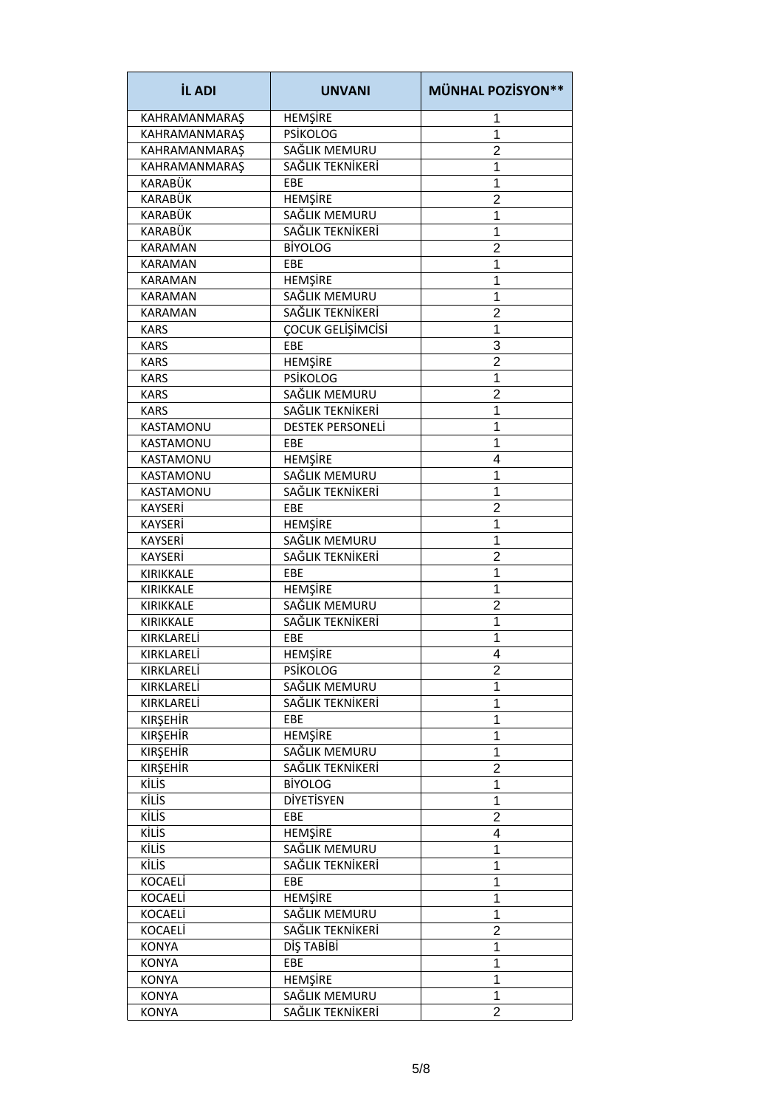| <b>İL ADI</b>        | <b>UNVANI</b>           | <b>MÜNHAL POZİSYON**</b> |
|----------------------|-------------------------|--------------------------|
| KAHRAMANMARAŞ        | HEMŞİRE                 | 1                        |
| <b>KAHRAMANMARAŞ</b> | <b>PSİKOLOG</b>         | 1                        |
| KAHRAMANMARAŞ        | SAĞLIK MEMURU           | $\overline{2}$           |
| <b>KAHRAMANMARAŞ</b> | SAĞLIK TEKNİKERİ        | 1                        |
| KARABÜK              | EBE                     | 1                        |
| KARABÜK              | <b>HEMŞİRE</b>          | $\overline{2}$           |
| KARABÜK              | SAĞLIK MEMURU           | 1                        |
| KARABÜK              | SAĞLIK TEKNİKERİ        | 1                        |
| <b>KARAMAN</b>       | <b>BİYOLOG</b>          | $\overline{2}$           |
| <b>KARAMAN</b>       | EBE                     | 1                        |
| <b>KARAMAN</b>       | <b>HEMŞİRE</b>          | 1                        |
| <b>KARAMAN</b>       | SAĞLIK MEMURU           | 1                        |
| <b>KARAMAN</b>       | SAĞLIK TEKNİKERİ        | $\overline{2}$           |
| KARS                 | ÇOCUK GELİŞİMCİSİ       | 1                        |
| KARS                 | EBE                     | 3                        |
| <b>KARS</b>          | <b>HEMŞİRE</b>          | $\overline{2}$           |
| <b>KARS</b>          | <b>PSİKOLOG</b>         | 1                        |
| <b>KARS</b>          | SAĞLIK MEMURU           | $\overline{2}$           |
| <b>KARS</b>          | SAĞLIK TEKNİKERİ        | 1                        |
| KASTAMONU            | <b>DESTEK PERSONELI</b> | 1                        |
| KASTAMONU            | EBE                     | 1                        |
| KASTAMONU            | <b>HEMŞİRE</b>          | 4                        |
| KASTAMONU            | SAĞLIK MEMURU           | 1                        |
| <b>KASTAMONU</b>     | SAĞLIK TEKNİKERİ        | 1                        |
| <b>KAYSERİ</b>       | EBE                     | 2                        |
| <b>KAYSERİ</b>       | <b>HEMŞİRE</b>          | 1                        |
| <b>KAYSERİ</b>       | SAĞLIK MEMURU           | 1                        |
| <b>KAYSERİ</b>       | SAĞLIK TEKNİKERİ        | $\overline{2}$           |
| KIRIKKALE            | EBE                     | 1                        |
| KIRIKKALE            | <b>HEMŞİRE</b>          | 1                        |
| <b>KIRIKKALE</b>     | SAĞLIK MEMURU           | $\overline{2}$           |
| KIRIKKALE            | SAĞLIK TEKNİKERİ        | 1                        |
| KIRKLARELİ           | EBE                     | 1                        |
| KIRKLARELİ           | <b>HEMSIRE</b>          | 4                        |
| KIRKLARELİ           | <b>PSİKOLOG</b>         | 2                        |
| KIRKLARELİ           | SAĞLIK MEMURU           | 1                        |
| KIRKLARELİ           | SAĞLIK TEKNİKERİ        | 1                        |
| <b>KIRŞEHİR</b>      | EBE                     | 1                        |
| <b>KIRŞEHİR</b>      | HEMŞİRE                 | 1                        |
| <b>KIRŞEHİR</b>      | SAĞLIK MEMURU           | 1                        |
| <b>KIRŞEHİR</b>      | SAĞLIK TEKNİKERİ        | $\overline{2}$           |
| KİLİS                | <b>BİYOLOG</b>          | 1                        |
| <b>KİLİS</b>         | <b>DİYETİSYEN</b>       | 1                        |
| <b>KİLİS</b>         | EBE                     | 2                        |
| KİLİS                | HEMŞİRE                 | 4                        |
| <b>KİLİS</b>         | SAĞLIK MEMURU           | 1                        |
| KİLİS                | SAĞLIK TEKNİKERİ        | 1                        |
| KOCAELİ              | EBE                     | 1                        |
| <b>KOCAELİ</b>       | <b>HEMŞİRE</b>          | 1                        |
| <b>KOCAELİ</b>       | SAĞLIK MEMURU           | 1                        |
| <b>KOCAELİ</b>       | SAĞLIK TEKNİKERİ        | $\overline{2}$           |
| <b>KONYA</b>         | DİŞ TABİBİ              | 1                        |
| <b>KONYA</b>         | EBE                     | 1                        |
| <b>KONYA</b>         | <b>HEMŞİRE</b>          | 1                        |
| <b>KONYA</b>         | SAĞLIK MEMURU           | 1                        |
| <b>KONYA</b>         | SAĞLIK TEKNİKERİ        | $\overline{2}$           |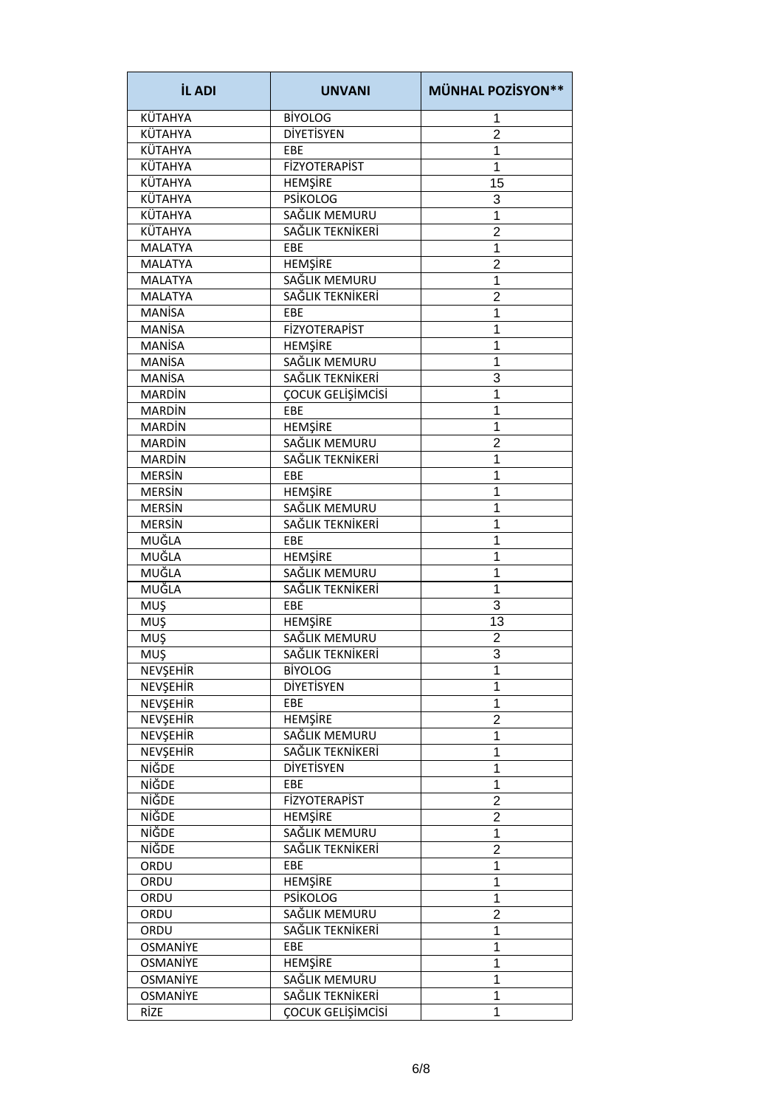| <b>İL ADI</b>   | <b>UNVANI</b>        | <b>MÜNHAL POZİSYON**</b> |
|-----------------|----------------------|--------------------------|
| <b>KÜTAHYA</b>  | <b>BİYOLOG</b>       | 1                        |
| KÜTAHYA         | <b>DİYETİSYEN</b>    | $\overline{2}$           |
| KÜTAHYA         | EBE                  | 1                        |
| KÜTAHYA         | <b>FİZYOTERAPİST</b> | 1                        |
| KÜTAHYA         | <b>HEMŞİRE</b>       | 15                       |
| KÜTAHYA         | <b>PSİKOLOG</b>      | 3                        |
| <b>KÜTAHYA</b>  | SAĞLIK MEMURU        | 1                        |
| <b>KÜTAHYA</b>  | SAĞLIK TEKNİKERİ     | $\overline{2}$           |
| <b>MALATYA</b>  | EBE                  | 1                        |
| <b>MALATYA</b>  | <b>HEMŞİRE</b>       | 2                        |
| <b>MALATYA</b>  | SAĞLIK MEMURU        | 1                        |
| <b>MALATYA</b>  | SAĞLIK TEKNİKERİ     | $\overline{2}$           |
| <b>MANİSA</b>   | EBE                  | 1                        |
| <b>MANISA</b>   | <b>FİZYOTERAPİST</b> | 1                        |
| <b>MANİSA</b>   | <b>HEMŞİRE</b>       | 1                        |
| <b>MANİSA</b>   | SAĞLIK MEMURU        | 1                        |
| <b>MANİSA</b>   | SAĞLIK TEKNİKERİ     | 3                        |
| <b>MARDIN</b>   | ÇOCUK GELİŞİMCİSİ    | 1                        |
| <b>MARDIN</b>   |                      | 1                        |
| <b>MARDIN</b>   | EBE                  | 1                        |
|                 | <b>HEMŞİRE</b>       |                          |
| <b>MARDIN</b>   | SAĞLIK MEMURU        | $\overline{2}$           |
| <b>MARDIN</b>   | SAĞLIK TEKNİKERİ     | 1                        |
| <b>MERSIN</b>   | EBE                  | 1                        |
| <b>MERSIN</b>   | <b>HEMŞİRE</b>       | 1                        |
| <b>MERSIN</b>   | SAĞLIK MEMURU        | 1                        |
| <b>MERSIN</b>   | SAĞLIK TEKNİKERİ     | 1                        |
| MUĞLA           | EBE                  | 1                        |
| MUĞLA           | HEMŞİRE              | 1                        |
| MUĞLA           | SAĞLIK MEMURU        | 1                        |
| MUĞLA           | SAĞLIK TEKNİKERİ     | 1                        |
| MUŞ             | EBE                  | 3                        |
| MUŞ             | HEMŞİRE              | 13                       |
| MUŞ             | SAĞLIK MEMURU        | $\overline{2}$           |
| <b>MUŞ</b>      | SAĞLIK TEKNİKERİ     | 3                        |
| NEVŞEHİR        | <b>BİYOLOG</b>       | 1                        |
| NEVŞEHİR        | DİYETİSYEN           | 1                        |
| <b>NEVSEHİR</b> | EBE                  | 1                        |
| NEVŞEHİR        | <b>HEMŞİRE</b>       | $\overline{\mathbf{c}}$  |
| NEVŞEHİR        | SAĞLIK MEMURU        | 1                        |
| NEVŞEHİR        | SAĞLIK TEKNİKERİ     | 1                        |
| NİĞDE           | <b>DİYETİSYEN</b>    | 1                        |
| NİĞDE           | EBE                  | 1                        |
| NİĞDE           | FİZYOTERAPİST        | $\overline{2}$           |
| NİĞDE           | <b>HEMŞİRE</b>       | $\overline{c}$           |
| NİĞDE           | SAĞLIK MEMURU        | 1                        |
| NİĞDE           | SAĞLIK TEKNİKERİ     | $\overline{2}$           |
| ORDU            | EBE                  | 1                        |
| ORDU            | <b>HEMŞİRE</b>       | 1                        |
| ORDU            | <b>PSİKOLOG</b>      | 1                        |
| ORDU            | SAĞLIK MEMURU        | $\overline{2}$           |
| ORDU            | SAĞLIK TEKNİKERİ     | 1                        |
| OSMANİYE        | EBE                  | 1                        |
| <b>OSMANİYE</b> | <b>HEMŞİRE</b>       | 1                        |
| <b>OSMANİYE</b> | SAĞLIK MEMURU        | 1                        |
| <b>OSMANİYE</b> | SAĞLIK TEKNİKERİ     | 1                        |
| RİZE            |                      |                          |
|                 | ÇOCUK GELİŞİMCİSİ    | 1                        |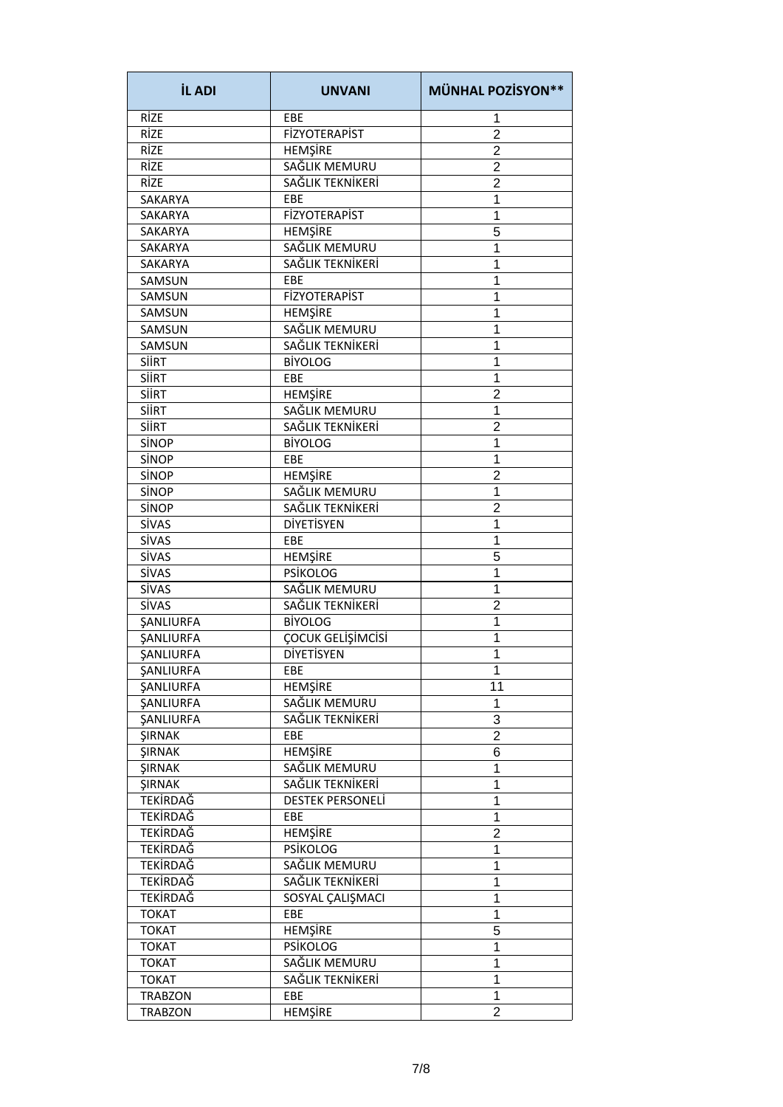| <b>İL ADI</b>           | <b>UNVANI</b>        | <b>MÜNHAL POZİSYON**</b> |
|-------------------------|----------------------|--------------------------|
| RİZE                    | EBE                  | 1                        |
| RİZE                    | <b>FİZYOTERAPİST</b> | $\overline{2}$           |
| RİZE                    | HEMŞİRE              | $\overline{c}$           |
| RİZE                    | SAĞLIK MEMURU        | $\overline{2}$           |
| RİZE                    | SAĞLIK TEKNİKERİ     | $\overline{2}$           |
| <b>SAKARYA</b>          | EBE                  | 1                        |
| <b>SAKARYA</b>          | <b>FİZYOTERAPİST</b> | 1                        |
| <b>SAKARYA</b>          | HEMŞİRE              | 5                        |
| <b>SAKARYA</b>          | SAĞLIK MEMURU        | 1                        |
| <b>SAKARYA</b>          | SAĞLIK TEKNİKERİ     | 1                        |
| SAMSUN                  | EBE                  | 1                        |
| SAMSUN                  | <b>FİZYOTERAPİST</b> | 1                        |
| SAMSUN                  | <b>HEMŞİRE</b>       | 1                        |
| <b>SAMSUN</b>           | SAĞLIK MEMURU        | 1                        |
| SAMSUN                  | SAĞLIK TEKNİKERİ     | 1                        |
|                         |                      | 1                        |
| <b>SIIRT</b>            | <b>BİYOLOG</b>       |                          |
| <b>SIIRT</b>            | EBE                  | 1                        |
| <b>SIIRT</b>            | <b>HEMSIRE</b>       | $\overline{2}$           |
| <b>SIIRT</b>            | SAĞLIK MEMURU        | 1                        |
| <b>SIIRT</b>            | SAĞLIK TEKNİKERİ     | $\overline{2}$           |
| SİNOP                   | <b>BİYOLOG</b>       | 1                        |
| SİNOP                   | EBE                  | 1                        |
| SİNOP                   | <b>HEMŞİRE</b>       | $\overline{2}$           |
| SİNOP                   | SAĞLIK MEMURU        | 1                        |
| SİNOP                   | SAĞLIK TEKNİKERİ     | $\overline{2}$           |
| <b>SİVAS</b>            | DİYETİSYEN           | 1                        |
| SİVAS                   | EBE                  | 1                        |
| SİVAS                   | HEMŞİRE              | 5                        |
| SİVAS                   | <b>PSİKOLOG</b>      | 1                        |
| SİVAS                   | SAĞLIK MEMURU        | 1                        |
| <b>SİVAS</b>            | SAĞLIK TEKNİKERİ     | $\overline{2}$           |
| SANLIURFA               | <b>BİYOLOG</b>       | 1                        |
| <b><i>ŞANLIURFA</i></b> | ÇOCUK GELİŞİMCİSİ    | 1                        |
| SANLIURFA               | <b>DİYETİSYEN</b>    | 1                        |
| ŞANLIURFA               | EBE                  | 1                        |
| SANLIURFA               | HEMŞİRE              | 11                       |
| SANLIURFA               | SAĞLIK MEMURU        | 1                        |
| <b><i>ŞANLIURFA</i></b> | SAĞLIK TEKNİKERİ     | 3                        |
| ŞIRNAK                  | EBE                  | $\overline{2}$           |
| <b>ŞIRNAK</b>           | HEMŞİRE              | 6                        |
| <b>ŞIRNAK</b>           | SAĞLIK MEMURU        | 1                        |
| <b>ŞIRNAK</b>           | SAĞLIK TEKNİKERİ     | 1                        |
| <b>TEKİRDAĞ</b>         | DESTEK PERSONELİ     | 1                        |
| <b>TEKİRDAĞ</b>         | EBE                  | 1                        |
| <b>TEKİRDAĞ</b>         | <b>HEMSIRE</b>       | $\overline{2}$           |
| <b>TEKİRDAĞ</b>         | <b>PSİKOLOG</b>      | 1                        |
| <b>TEKİRDAĞ</b>         | SAĞLIK MEMURU        | 1                        |
| <b>TEKİRDAĞ</b>         | SAĞLIK TEKNİKERİ     | 1                        |
| <b>TEKİRDAĞ</b>         | SOSYAL ÇALIŞMACI     | 1                        |
|                         |                      |                          |
| <b>TOKAT</b>            | EBE                  | 1                        |
| <b>TOKAT</b>            | HEMŞİRE              | 5                        |
| <b>TOKAT</b>            | <b>PSIKOLOG</b>      | 1                        |
| <b>TOKAT</b>            | SAĞLIK MEMURU        | 1                        |
| <b>TOKAT</b>            | SAĞLIK TEKNİKERİ     | 1                        |
| <b>TRABZON</b>          | EBE                  | 1                        |
| <b>TRABZON</b>          | <b>HEMŞİRE</b>       | $\overline{2}$           |